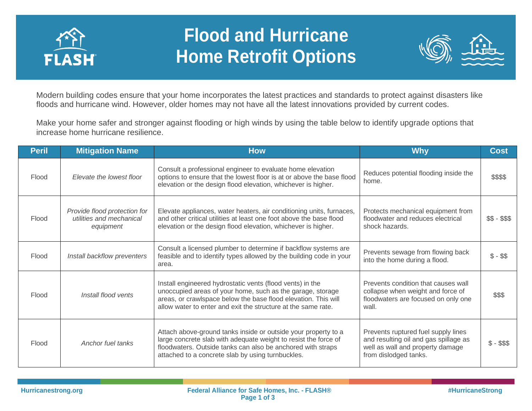

## **Flood and Hurricane Home Retrofit Options**



Modern building codes ensure that your home incorporates the latest practices and standards to protect against disasters like floods and hurricane wind. However, older homes may not have all the latest innovations provided by current codes.

Make your home safer and stronger against flooding or high winds by using the table below to identify upgrade options that increase home hurricane resilience.

| <b>Peril</b> | <b>Mitigation Name</b>                                                | <b>How</b>                                                                                                                                                                                                                                                 | <b>Why</b>                                                                                                                                | <b>Cost</b>  |
|--------------|-----------------------------------------------------------------------|------------------------------------------------------------------------------------------------------------------------------------------------------------------------------------------------------------------------------------------------------------|-------------------------------------------------------------------------------------------------------------------------------------------|--------------|
| Flood        | Elevate the lowest floor                                              | Consult a professional engineer to evaluate home elevation<br>options to ensure that the lowest floor is at or above the base flood<br>elevation or the design flood elevation, whichever is higher.                                                       | Reduces potential flooding inside the<br>home.                                                                                            | \$\$\$\$     |
| Flood        | Provide flood protection for<br>utilities and mechanical<br>equipment | Elevate appliances, water heaters, air conditioning units, furnaces,<br>and other critical utilities at least one foot above the base flood<br>elevation or the design flood elevation, whichever is higher.                                               | Protects mechanical equipment from<br>floodwater and reduces electrical<br>shock hazards.                                                 | $$5 - $55$   |
| Flood        | Install backflow preventers                                           | Consult a licensed plumber to determine if backflow systems are<br>feasible and to identify types allowed by the building code in your<br>area.                                                                                                            | Prevents sewage from flowing back<br>into the home during a flood.                                                                        | $$ - $$      |
| Flood        | Install flood vents                                                   | Install engineered hydrostatic vents (flood vents) in the<br>unoccupied areas of your home, such as the garage, storage<br>areas, or crawlspace below the base flood elevation. This will<br>allow water to enter and exit the structure at the same rate. | Prevents condition that causes wall<br>collapse when weight and force of<br>floodwaters are focused on only one<br>wall.                  | \$\$\$       |
| Flood        | Anchor fuel tanks                                                     | Attach above-ground tanks inside or outside your property to a<br>large concrete slab with adequate weight to resist the force of<br>floodwaters. Outside tanks can also be anchored with straps<br>attached to a concrete slab by using turnbuckles.      | Prevents ruptured fuel supply lines<br>and resulting oil and gas spillage as<br>well as wall and property damage<br>from dislodged tanks. | $$ - $$ \$\$ |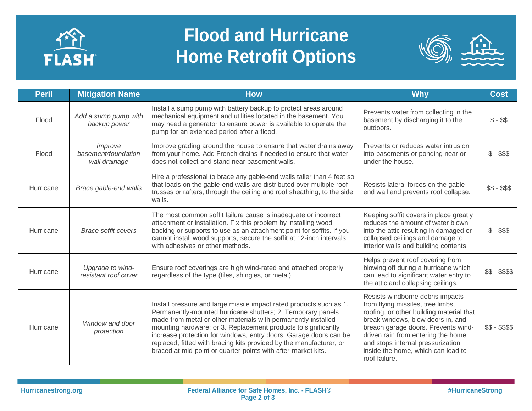

## **Flood and Hurricane Home Retrofit Options**



| <b>Peril</b> | <b>Mitigation Name</b>                          | <b>How</b>                                                                                                                                                                                                                                                                                                                                                                                                                                                                         | <b>Why</b>                                                                                                                                                                                                                                                                                                                      | <b>Cost</b>     |
|--------------|-------------------------------------------------|------------------------------------------------------------------------------------------------------------------------------------------------------------------------------------------------------------------------------------------------------------------------------------------------------------------------------------------------------------------------------------------------------------------------------------------------------------------------------------|---------------------------------------------------------------------------------------------------------------------------------------------------------------------------------------------------------------------------------------------------------------------------------------------------------------------------------|-----------------|
| Flood        | Add a sump pump with<br>backup power            | Install a sump pump with battery backup to protect areas around<br>mechanical equipment and utilities located in the basement. You<br>may need a generator to ensure power is available to operate the<br>pump for an extended period after a flood.                                                                                                                                                                                                                               | Prevents water from collecting in the<br>basement by discharging it to the<br>outdoors.                                                                                                                                                                                                                                         | $$ - $$         |
| Flood        | Improve<br>basement/foundation<br>wall drainage | Improve grading around the house to ensure that water drains away<br>from your home. Add French drains if needed to ensure that water<br>does not collect and stand near basement walls.                                                                                                                                                                                                                                                                                           | Prevents or reduces water intrusion<br>into basements or ponding near or<br>under the house.                                                                                                                                                                                                                                    | $$ - $$ \$\$    |
| Hurricane    | Brace gable-end walls                           | Hire a professional to brace any gable-end walls taller than 4 feet so<br>that loads on the gable-end walls are distributed over multiple roof<br>trusses or rafters, through the ceiling and roof sheathing, to the side<br>walls.                                                                                                                                                                                                                                                | Resists lateral forces on the gable<br>end wall and prevents roof collapse.                                                                                                                                                                                                                                                     | $$5 - $55$      |
| Hurricane    | <b>Brace soffit covers</b>                      | The most common soffit failure cause is inadequate or incorrect<br>attachment or installation. Fix this problem by installing wood<br>backing or supports to use as an attachment point for soffits. If you<br>cannot install wood supports, secure the soffit at 12-inch intervals<br>with adhesives or other methods.                                                                                                                                                            | Keeping soffit covers in place greatly<br>reduces the amount of water blown<br>into the attic resulting in damaged or<br>collapsed ceilings and damage to<br>interior walls and building contents.                                                                                                                              | $$ - $$ \$\$    |
| Hurricane    | Upgrade to wind-<br>resistant roof cover        | Ensure roof coverings are high wind-rated and attached properly<br>regardless of the type (tiles, shingles, or metal).                                                                                                                                                                                                                                                                                                                                                             | Helps prevent roof covering from<br>blowing off during a hurricane which<br>can lead to significant water entry to<br>the attic and collapsing ceilings.                                                                                                                                                                        | \$\$ - \$\$\$\$ |
| Hurricane    | Window and door<br>protection                   | Install pressure and large missile impact rated products such as 1.<br>Permanently-mounted hurricane shutters; 2. Temporary panels<br>made from metal or other materials with permanently installed<br>mounting hardware; or 3. Replacement products to significantly<br>increase protection for windows, entry doors. Garage doors can be<br>replaced, fitted with bracing kits provided by the manufacturer, or<br>braced at mid-point or quarter-points with after-market kits. | Resists windborne debris impacts<br>from flying missiles, tree limbs,<br>roofing, or other building material that<br>break windows, blow doors in, and<br>breach garage doors. Prevents wind-<br>driven rain from entering the home<br>and stops internal pressurization<br>inside the home, which can lead to<br>roof failure. | $$5 - $555$     |